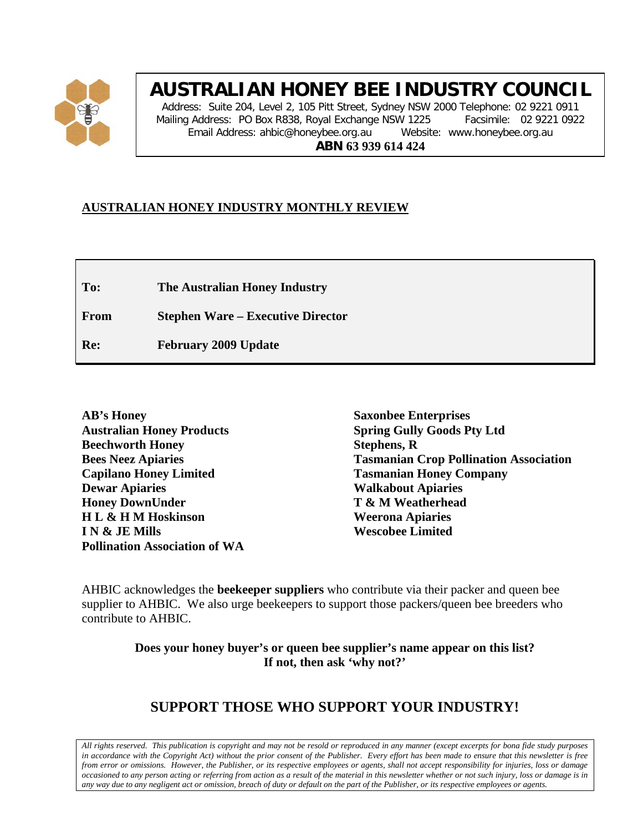

# **AUSTRALIAN HONEY BEE INDUSTRY COUNCIL**

Address: Suite 204, Level 2, 105 Pitt Street, Sydney NSW 2000 Telephone: 02 9221 0911 Mailing Address: PO Box R838, Royal Exchange NSW 1225 Facsimile: 02 9221 0922 Email Address: ahbic@honeybee.org.au Website: www.honeybee.org.au **ABN 63 939 614 424**

# **AUSTRALIAN HONEY INDUSTRY MONTHLY REVIEW**

**To: The Australian Honey Industry**

**From Stephen Ware – Executive Director**

**Re: February 2009 Update**

**Saxonbee Enterprises Spring Gully Goods Pty Ltd Stephens, R Tasmanian Crop Pollination Association Tasmanian Honey Company Walkabout Apiaries T & M Weatherhead Weerona Apiaries Wescobee Limited**

AHBIC acknowledges the **beekeeper suppliers** who contribute via their packer and queen bee supplier to AHBIC. We also urge beekeepers to support those packers/queen bee breeders who contribute to AHBIC.

> **Does your honey buyer's or queen bee supplier's name appear on this list? If not, then ask 'why not?'**

# **SUPPORT THOSE WHO SUPPORT YOUR INDUSTRY!**

*All rights reserved. This publication is copyright and may not be resold or reproduced in any manner (except excerpts for bona fide study purposes in accordance with the Copyright Act) without the prior consent of the Publisher. Every effort has been made to ensure that this newsletter is free from error or omissions. However, the Publisher, or its respective employees or agents, shall not accept responsibility for injuries, loss or damage occasioned to any person acting or referring from action as a result of the material in this newsletter whether or not such injury, loss or damage is in any way due to any negligent act or omission, breach of duty or default on the part of the Publisher, or its respective employees or agents.*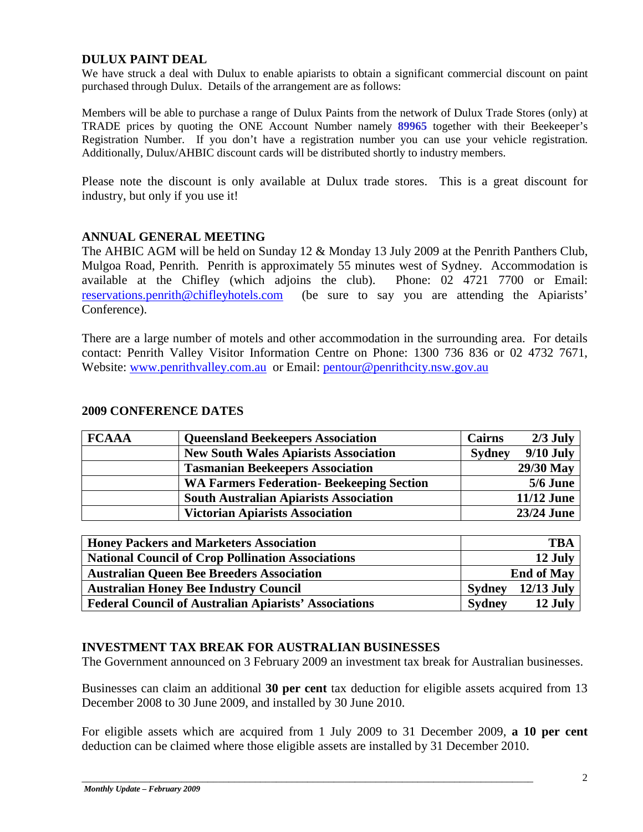#### **DULUX PAINT DEAL**

We have struck a deal with Dulux to enable apiarists to obtain a significant commercial discount on paint purchased through Dulux. Details of the arrangement are as follows:

Members will be able to purchase a range of Dulux Paints from the network of Dulux Trade Stores (only) at TRADE prices by quoting the ONE Account Number namely **89965** together with their Beekeeper's Registration Number. If you don't have a registration number you can use your vehicle registration. Additionally, Dulux/AHBIC discount cards will be distributed shortly to industry members.

Please note the discount is only available at Dulux trade stores. This is a great discount for industry, but only if you use it!

#### **ANNUAL GENERAL MEETING**

The AHBIC AGM will be held on Sunday 12 & Monday 13 July 2009 at the Penrith Panthers Club, Mulgoa Road, Penrith. Penrith is approximately 55 minutes west of Sydney. Accommodation is available at the Chifley (which adjoins the club). Phone: 02 4721 7700 or Email: available at the Chifley (which adjoins the club). [reservations.penrith@chifleyhotels.com](mailto:reservations.penrith@chifleyhotels.com) (be sure to say you are attending the Apiarists' Conference).

There are a large number of motels and other accommodation in the surrounding area. For details contact: Penrith Valley Visitor Information Centre on Phone: 1300 736 836 or 02 4732 7671, Website: [www.penrithvalley.com.au](http://www.penrithvalley.com.au/) or Email: [pentour@penrithcity.nsw.gov.au](mailto:pentour@penrithcity.nsw.gov.au)

#### **2009 CONFERENCE DATES**

| <b>FCAAA</b> | <b>Queensland Beekeepers Association</b>         | <b>Cairns</b> | $2/3$ July        |
|--------------|--------------------------------------------------|---------------|-------------------|
|              | <b>New South Wales Apiarists Association</b>     | <b>Sydney</b> | $9/10$ July       |
|              | <b>Tasmanian Beekeepers Association</b>          |               | 29/30 May         |
|              | <b>WA Farmers Federation- Beekeeping Section</b> |               | 5/6 June          |
|              | <b>South Australian Apiarists Association</b>    |               | <b>11/12 June</b> |
|              | <b>Victorian Apiarists Association</b>           |               | 23/24 June        |

| <b>Honey Packers and Marketers Association</b>               | <b>TBA</b> |                   |  |
|--------------------------------------------------------------|------------|-------------------|--|
| <b>National Council of Crop Pollination Associations</b>     |            | 12 July           |  |
| <b>Australian Queen Bee Breeders Association</b>             |            | <b>End of May</b> |  |
| <b>Australian Honey Bee Industry Council</b>                 | Sydney     | $12/13$ July      |  |
| <b>Federal Council of Australian Apiarists' Associations</b> | Sydney     | 12 July           |  |

#### **INVESTMENT TAX BREAK FOR AUSTRALIAN BUSINESSES**

The Government announced on 3 February 2009 an investment tax break for Australian businesses.

Businesses can claim an additional **30 per cent** tax deduction for eligible assets acquired from 13 December 2008 to 30 June 2009, and installed by 30 June 2010.

For eligible assets which are acquired from 1 July 2009 to 31 December 2009, **a 10 per cent** deduction can be claimed where those eligible assets are installed by 31 December 2010.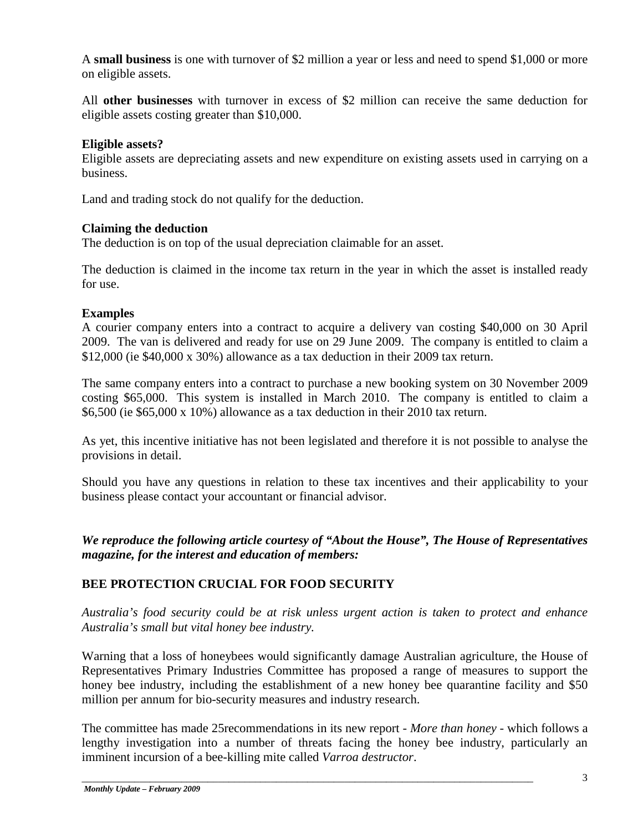A **small business** is one with turnover of \$2 million a year or less and need to spend \$1,000 or more on eligible assets.

All **other businesses** with turnover in excess of \$2 million can receive the same deduction for eligible assets costing greater than \$10,000.

### **Eligible assets?**

Eligible assets are depreciating assets and new expenditure on existing assets used in carrying on a business.

Land and trading stock do not qualify for the deduction.

#### **Claiming the deduction**

The deduction is on top of the usual depreciation claimable for an asset.

The deduction is claimed in the income tax return in the year in which the asset is installed ready for use.

# **Examples**

A courier company enters into a contract to acquire a delivery van costing \$40,000 on 30 April 2009. The van is delivered and ready for use on 29 June 2009. The company is entitled to claim a \$12,000 (ie \$40,000 x 30%) allowance as a tax deduction in their 2009 tax return.

The same company enters into a contract to purchase a new booking system on 30 November 2009 costing \$65,000. This system is installed in March 2010. The company is entitled to claim a \$6,500 (ie \$65,000 x 10%) allowance as a tax deduction in their 2010 tax return.

As yet, this incentive initiative has not been legislated and therefore it is not possible to analyse the provisions in detail.

Should you have any questions in relation to these tax incentives and their applicability to your business please contact your accountant or financial advisor.

*We reproduce the following article courtesy of "About the House", The House of Representatives magazine, for the interest and education of members:*

# **BEE PROTECTION CRUCIAL FOR FOOD SECURITY**

*Australia's food security could be at risk unless urgent action is taken to protect and enhance Australia's small but vital honey bee industry.*

Warning that a loss of honeybees would significantly damage Australian agriculture, the House of Representatives Primary Industries Committee has proposed a range of measures to support the honey bee industry, including the establishment of a new honey bee quarantine facility and \$50 million per annum for bio-security measures and industry research.

The committee has made 25recommendations in its new report - *More than honey -* which follows a lengthy investigation into a number of threats facing the honey bee industry, particularly an imminent incursion of a bee-killing mite called *Varroa destructor*.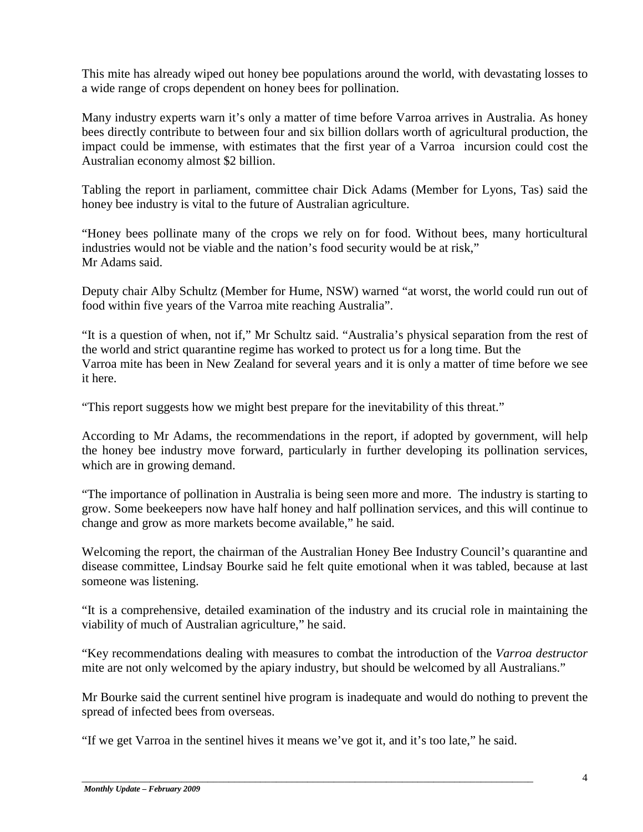This mite has already wiped out honey bee populations around the world, with devastating losses to a wide range of crops dependent on honey bees for pollination.

Many industry experts warn it's only a matter of time before Varroa arrives in Australia. As honey bees directly contribute to between four and six billion dollars worth of agricultural production, the impact could be immense, with estimates that the first year of a Varroa incursion could cost the Australian economy almost \$2 billion.

Tabling the report in parliament, committee chair Dick Adams (Member for Lyons, Tas) said the honey bee industry is vital to the future of Australian agriculture.

"Honey bees pollinate many of the crops we rely on for food. Without bees, many horticultural industries would not be viable and the nation's food security would be at risk," Mr Adams said.

Deputy chair Alby Schultz (Member for Hume, NSW) warned "at worst, the world could run out of food within five years of the Varroa mite reaching Australia".

"It is a question of when, not if," Mr Schultz said. "Australia's physical separation from the rest of the world and strict quarantine regime has worked to protect us for a long time. But the Varroa mite has been in New Zealand for several years and it is only a matter of time before we see it here.

"This report suggests how we might best prepare for the inevitability of this threat."

According to Mr Adams, the recommendations in the report, if adopted by government, will help the honey bee industry move forward, particularly in further developing its pollination services, which are in growing demand.

"The importance of pollination in Australia is being seen more and more. The industry is starting to grow. Some beekeepers now have half honey and half pollination services, and this will continue to change and grow as more markets become available," he said.

Welcoming the report, the chairman of the Australian Honey Bee Industry Council's quarantine and disease committee, Lindsay Bourke said he felt quite emotional when it was tabled, because at last someone was listening.

"It is a comprehensive, detailed examination of the industry and its crucial role in maintaining the viability of much of Australian agriculture," he said.

"Key recommendations dealing with measures to combat the introduction of the *Varroa destructor*  mite are not only welcomed by the apiary industry, but should be welcomed by all Australians."

Mr Bourke said the current sentinel hive program is inadequate and would do nothing to prevent the spread of infected bees from overseas.

"If we get Varroa in the sentinel hives it means we've got it, and it's too late," he said.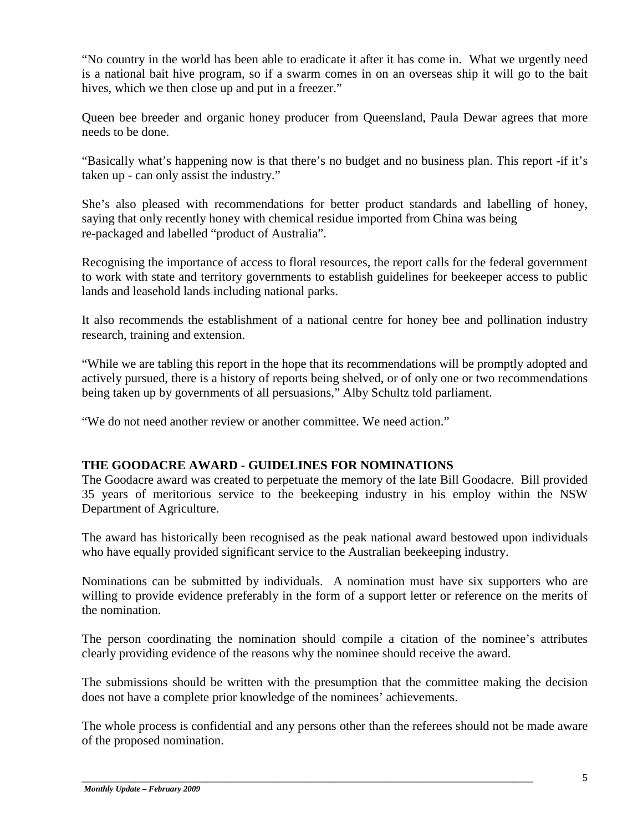"No country in the world has been able to eradicate it after it has come in. What we urgently need is a national bait hive program, so if a swarm comes in on an overseas ship it will go to the bait hives, which we then close up and put in a freezer."

Queen bee breeder and organic honey producer from Queensland, Paula Dewar agrees that more needs to be done.

"Basically what's happening now is that there's no budget and no business plan. This report -if it's taken up - can only assist the industry."

She's also pleased with recommendations for better product standards and labelling of honey, saying that only recently honey with chemical residue imported from China was being re-packaged and labelled "product of Australia".

Recognising the importance of access to floral resources, the report calls for the federal government to work with state and territory governments to establish guidelines for beekeeper access to public lands and leasehold lands including national parks.

It also recommends the establishment of a national centre for honey bee and pollination industry research, training and extension.

"While we are tabling this report in the hope that its recommendations will be promptly adopted and actively pursued, there is a history of reports being shelved, or of only one or two recommendations being taken up by governments of all persuasions," Alby Schultz told parliament.

"We do not need another review or another committee. We need action."

#### **THE GOODACRE AWARD - GUIDELINES FOR NOMINATIONS**

The Goodacre award was created to perpetuate the memory of the late Bill Goodacre. Bill provided 35 years of meritorious service to the beekeeping industry in his employ within the NSW Department of Agriculture.

The award has historically been recognised as the peak national award bestowed upon individuals who have equally provided significant service to the Australian beekeeping industry.

Nominations can be submitted by individuals. A nomination must have six supporters who are willing to provide evidence preferably in the form of a support letter or reference on the merits of the nomination.

The person coordinating the nomination should compile a citation of the nominee's attributes clearly providing evidence of the reasons why the nominee should receive the award.

The submissions should be written with the presumption that the committee making the decision does not have a complete prior knowledge of the nominees' achievements.

The whole process is confidential and any persons other than the referees should not be made aware of the proposed nomination.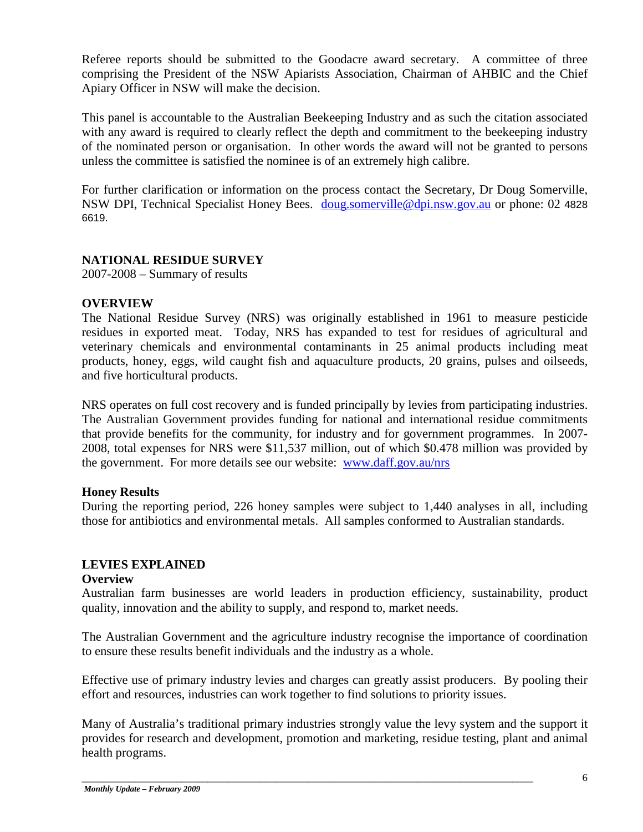Referee reports should be submitted to the Goodacre award secretary. A committee of three comprising the President of the NSW Apiarists Association, Chairman of AHBIC and the Chief Apiary Officer in NSW will make the decision.

This panel is accountable to the Australian Beekeeping Industry and as such the citation associated with any award is required to clearly reflect the depth and commitment to the beekeeping industry of the nominated person or organisation. In other words the award will not be granted to persons unless the committee is satisfied the nominee is of an extremely high calibre.

For further clarification or information on the process contact the Secretary, Dr Doug Somerville, NSW DPI, Technical Specialist Honey Bees. [doug.somerville@dpi.nsw.gov.au](mailto:doug.somerville@dpi.nsw.gov.au) or phone: 02 4828 6619.

#### **NATIONAL RESIDUE SURVEY**

2007-2008 – Summary of results

#### **OVERVIEW**

The National Residue Survey (NRS) was originally established in 1961 to measure pesticide residues in exported meat. Today, NRS has expanded to test for residues of agricultural and veterinary chemicals and environmental contaminants in 25 animal products including meat products, honey, eggs, wild caught fish and aquaculture products, 20 grains, pulses and oilseeds, and five horticultural products.

NRS operates on full cost recovery and is funded principally by levies from participating industries. The Australian Government provides funding for national and international residue commitments that provide benefits for the community, for industry and for government programmes. In 2007- 2008, total expenses for NRS were \$11,537 million, out of which \$0.478 million was provided by the government. For more details see our website: [www.daff.gov.au/nrs](http://www.daff.gov.au/nrs)

#### **Honey Results**

During the reporting period, 226 honey samples were subject to 1,440 analyses in all, including those for antibiotics and environmental metals. All samples conformed to Australian standards.

#### **LEVIES EXPLAINED**

#### **Overview**

Australian farm businesses are world leaders in production efficiency, sustainability, product quality, innovation and the ability to supply, and respond to, market needs.

The Australian Government and the agriculture industry recognise the importance of coordination to ensure these results benefit individuals and the industry as a whole.

Effective use of primary industry levies and charges can greatly assist producers. By pooling their effort and resources, industries can work together to find solutions to priority issues.

Many of Australia's traditional primary industries strongly value the levy system and the support it provides for research and development, promotion and marketing, residue testing, plant and animal health programs.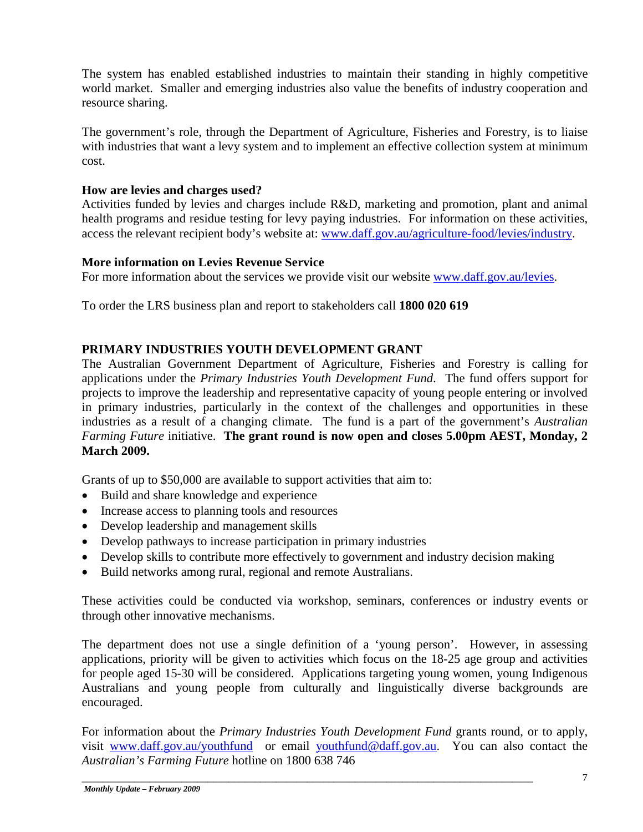The system has enabled established industries to maintain their standing in highly competitive world market. Smaller and emerging industries also value the benefits of industry cooperation and resource sharing.

The government's role, through the Department of Agriculture, Fisheries and Forestry, is to liaise with industries that want a levy system and to implement an effective collection system at minimum cost.

# **How are levies and charges used?**

Activities funded by levies and charges include R&D, marketing and promotion, plant and animal health programs and residue testing for levy paying industries. For information on these activities, access the relevant recipient body's website at: [www.daff.gov.au/agriculture-food/levies/industry.](http://www.daff.gov.au/agriculture-food/levies/industry)

# **More information on Levies Revenue Service**

For more information about the services we provide visit our website [www.daff.gov.au/levies.](http://www.daff.gov.au/levies)

To order the LRS business plan and report to stakeholders call **1800 020 619**

# **PRIMARY INDUSTRIES YOUTH DEVELOPMENT GRANT**

The Australian Government Department of Agriculture, Fisheries and Forestry is calling for applications under the *Primary Industries Youth Development Fund*. The fund offers support for projects to improve the leadership and representative capacity of young people entering or involved in primary industries, particularly in the context of the challenges and opportunities in these industries as a result of a changing climate. The fund is a part of the government's *Australian Farming Future* initiative. **The grant round is now open and closes 5.00pm AEST, Monday, 2 March 2009.**

Grants of up to \$50,000 are available to support activities that aim to:

- Build and share knowledge and experience
- Increase access to planning tools and resources
- Develop leadership and management skills
- Develop pathways to increase participation in primary industries
- Develop skills to contribute more effectively to government and industry decision making
- Build networks among rural, regional and remote Australians.

These activities could be conducted via workshop, seminars, conferences or industry events or through other innovative mechanisms.

The department does not use a single definition of a 'young person'. However, in assessing applications, priority will be given to activities which focus on the 18-25 age group and activities for people aged 15-30 will be considered. Applications targeting young women, young Indigenous Australians and young people from culturally and linguistically diverse backgrounds are encouraged.

For information about the *Primary Industries Youth Development Fund* grants round, or to apply, visit [www.daff.gov.au/youthfund](http://www.daff.gov.au/youthfund) or email [youthfund@daff.gov.au.](mailto:youthfund@daff.gov.au) You can also contact the *Australian's Farming Future* hotline on 1800 638 746